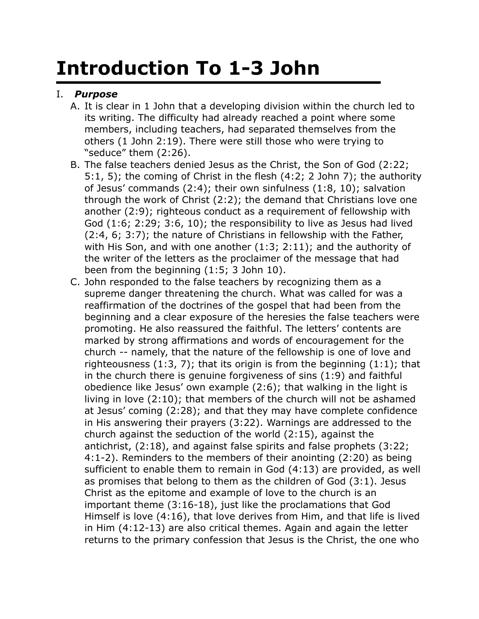## **Introduction To 1-3 John**

## I. *Purpose*

- A. It is clear in 1 John that a developing division within the church led to its writing. The difficulty had already reached a point where some members, including teachers, had separated themselves from the others (1 John 2:19). There were still those who were trying to "seduce" them (2:26).
- B. The false teachers denied Jesus as the Christ, the Son of God (2:22; 5:1, 5); the coming of Christ in the flesh (4:2; 2 John 7); the authority of Jesus' commands (2:4); their own sinfulness (1:8, 10); salvation through the work of Christ (2:2); the demand that Christians love one another (2:9); righteous conduct as a requirement of fellowship with God (1:6; 2:29; 3:6, 10); the responsibility to live as Jesus had lived (2:4, 6; 3:7); the nature of Christians in fellowship with the Father, with His Son, and with one another (1:3; 2:11); and the authority of the writer of the letters as the proclaimer of the message that had been from the beginning (1:5; 3 John 10).
- C. John responded to the false teachers by recognizing them as a supreme danger threatening the church. What was called for was a reaffirmation of the doctrines of the gospel that had been from the beginning and a clear exposure of the heresies the false teachers were promoting. He also reassured the faithful. The letters' contents are marked by strong affirmations and words of encouragement for the church -- namely, that the nature of the fellowship is one of love and righteousness  $(1:3, 7)$ ; that its origin is from the beginning  $(1:1)$ ; that in the church there is genuine forgiveness of sins (1:9) and faithful obedience like Jesus' own example (2:6); that walking in the light is living in love (2:10); that members of the church will not be ashamed at Jesus' coming (2:28); and that they may have complete confidence in His answering their prayers (3:22). Warnings are addressed to the church against the seduction of the world (2:15), against the antichrist, (2:18), and against false spirits and false prophets (3:22; 4:1-2). Reminders to the members of their anointing (2:20) as being sufficient to enable them to remain in God (4:13) are provided, as well as promises that belong to them as the children of God (3:1). Jesus Christ as the epitome and example of love to the church is an important theme (3:16-18), just like the proclamations that God Himself is love (4:16), that love derives from Him, and that life is lived in Him (4:12-13) are also critical themes. Again and again the letter returns to the primary confession that Jesus is the Christ, the one who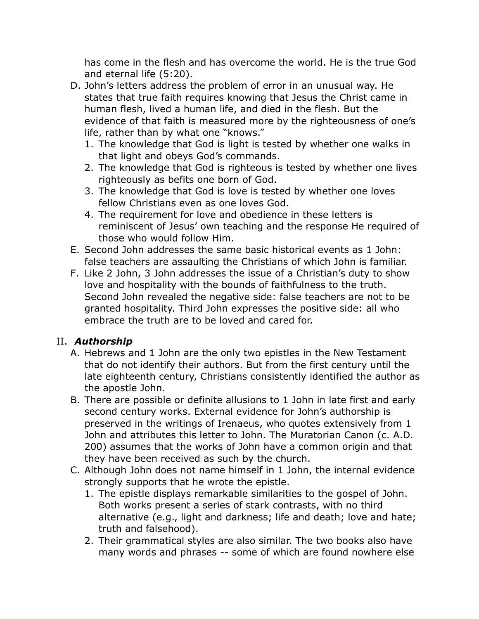has come in the flesh and has overcome the world. He is the true God and eternal life (5:20).

- D. John's letters address the problem of error in an unusual way. He states that true faith requires knowing that Jesus the Christ came in human flesh, lived a human life, and died in the flesh. But the evidence of that faith is measured more by the righteousness of one's life, rather than by what one "knows."
	- 1. The knowledge that God is light is tested by whether one walks in that light and obeys God's commands.
	- 2. The knowledge that God is righteous is tested by whether one lives righteously as befits one born of God.
	- 3. The knowledge that God is love is tested by whether one loves fellow Christians even as one loves God.
	- 4. The requirement for love and obedience in these letters is reminiscent of Jesus' own teaching and the response He required of those who would follow Him.
- E. Second John addresses the same basic historical events as 1 John: false teachers are assaulting the Christians of which John is familiar.
- F. Like 2 John, 3 John addresses the issue of a Christian's duty to show love and hospitality with the bounds of faithfulness to the truth. Second John revealed the negative side: false teachers are not to be granted hospitality. Third John expresses the positive side: all who embrace the truth are to be loved and cared for.

## II. *Authorship*

- A. Hebrews and 1 John are the only two epistles in the New Testament that do not identify their authors. But from the first century until the late eighteenth century, Christians consistently identified the author as the apostle John.
- B. There are possible or definite allusions to 1 John in late first and early second century works. External evidence for John's authorship is preserved in the writings of Irenaeus, who quotes extensively from 1 John and attributes this letter to John. The Muratorian Canon (c. A.D. 200) assumes that the works of John have a common origin and that they have been received as such by the church.
- C. Although John does not name himself in 1 John, the internal evidence strongly supports that he wrote the epistle.
	- 1. The epistle displays remarkable similarities to the gospel of John. Both works present a series of stark contrasts, with no third alternative (e.g., light and darkness; life and death; love and hate; truth and falsehood).
	- 2. Their grammatical styles are also similar. The two books also have many words and phrases -- some of which are found nowhere else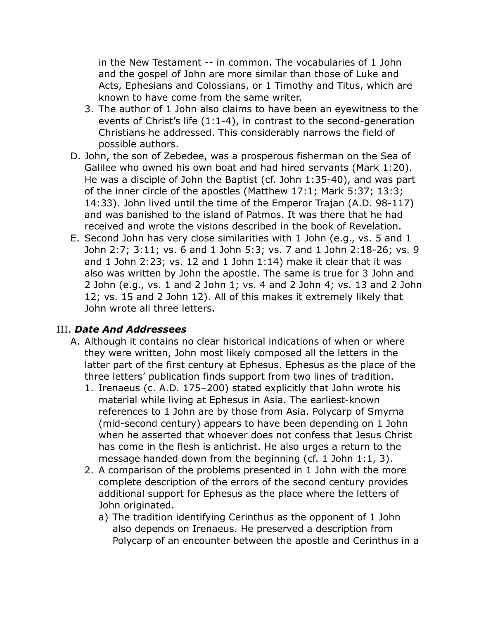in the New Testament -- in common. The vocabularies of 1 John and the gospel of John are more similar than those of Luke and Acts, Ephesians and Colossians, or 1 Timothy and Titus, which are known to have come from the same writer.

- 3. The author of 1 John also claims to have been an eyewitness to the events of Christ's life (1:1-4), in contrast to the second-generation Christians he addressed. This considerably narrows the field of possible authors.
- D. John, the son of Zebedee, was a prosperous fisherman on the Sea of Galilee who owned his own boat and had hired servants (Mark 1:20). He was a disciple of John the Baptist (cf. John 1:35-40), and was part of the inner circle of the apostles (Matthew 17:1; Mark 5:37; 13:3; 14:33). John lived until the time of the Emperor Trajan (A.D. 98-117) and was banished to the island of Patmos. It was there that he had received and wrote the visions described in the book of Revelation.
- E. Second John has very close similarities with 1 John (e.g., vs. 5 and 1 John 2:7; 3:11; vs. 6 and 1 John 5:3; vs. 7 and 1 John 2:18-26; vs. 9 and 1 John 2:23; vs. 12 and 1 John 1:14) make it clear that it was also was written by John the apostle. The same is true for 3 John and 2 John (e.g., vs. 1 and 2 John 1; vs. 4 and 2 John 4; vs. 13 and 2 John 12; vs. 15 and 2 John 12). All of this makes it extremely likely that John wrote all three letters.

## III. *Date And Addressees*

- A. Although it contains no clear historical indications of when or where they were written, John most likely composed all the letters in the latter part of the first century at Ephesus. Ephesus as the place of the three letters' publication finds support from two lines of tradition.
	- 1. Irenaeus (c. A.D. 175–200) stated explicitly that John wrote his material while living at Ephesus in Asia. The earliest-known references to 1 John are by those from Asia. Polycarp of Smyrna (mid-second century) appears to have been depending on 1 John when he asserted that whoever does not confess that Jesus Christ has come in the flesh is antichrist. He also urges a return to the message handed down from the beginning (cf. 1 John 1:1, 3).
	- 2. A comparison of the problems presented in 1 John with the more complete description of the errors of the second century provides additional support for Ephesus as the place where the letters of John originated.
		- a) The tradition identifying Cerinthus as the opponent of 1 John also depends on Irenaeus. He preserved a description from Polycarp of an encounter between the apostle and Cerinthus in a